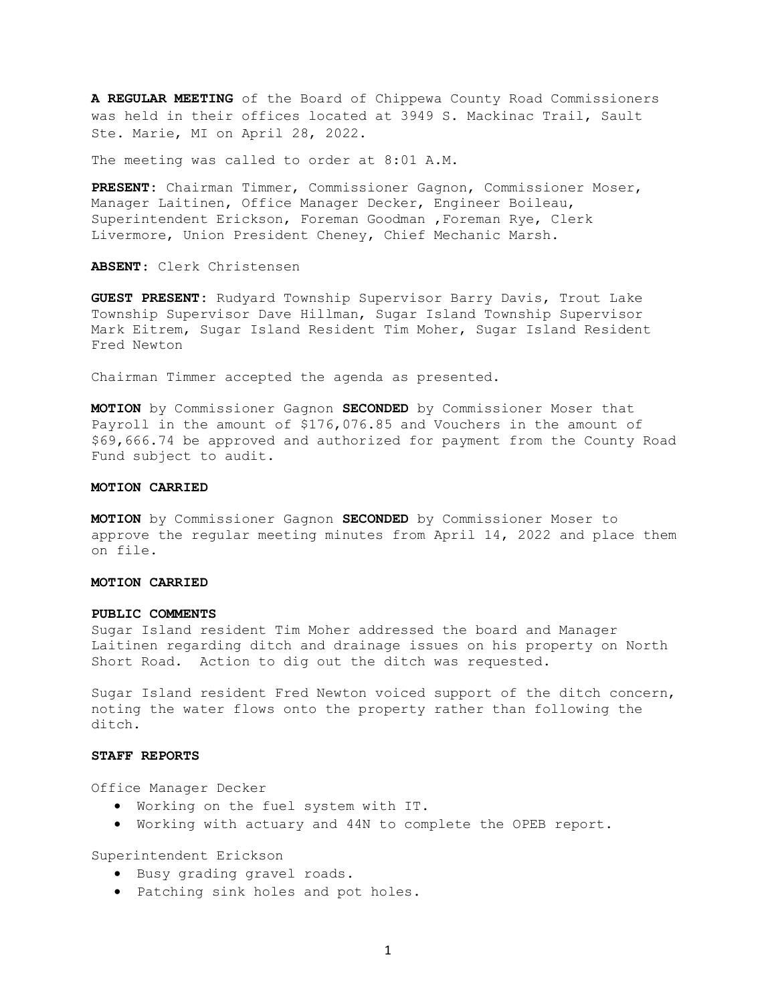**A REGULAR MEETING** of the Board of Chippewa County Road Commissioners was held in their offices located at 3949 S. Mackinac Trail, Sault Ste. Marie, MI on April 28, 2022.

The meeting was called to order at 8:01 A.M.

**PRESENT:** Chairman Timmer, Commissioner Gagnon, Commissioner Moser, Manager Laitinen, Office Manager Decker, Engineer Boileau, Superintendent Erickson, Foreman Goodman ,Foreman Rye, Clerk Livermore, Union President Cheney, Chief Mechanic Marsh.

**ABSENT**: Clerk Christensen

**GUEST PRESENT:** Rudyard Township Supervisor Barry Davis, Trout Lake Township Supervisor Dave Hillman, Sugar Island Township Supervisor Mark Eitrem, Sugar Island Resident Tim Moher, Sugar Island Resident Fred Newton

Chairman Timmer accepted the agenda as presented.

**MOTION** by Commissioner Gagnon **SECONDED** by Commissioner Moser that Payroll in the amount of \$176,076.85 and Vouchers in the amount of \$69,666.74 be approved and authorized for payment from the County Road Fund subject to audit.

### **MOTION CARRIED**

**MOTION** by Commissioner Gagnon **SECONDED** by Commissioner Moser to approve the regular meeting minutes from April 14, 2022 and place them on file.

## **MOTION CARRIED**

#### **PUBLIC COMMENTS**

Sugar Island resident Tim Moher addressed the board and Manager Laitinen regarding ditch and drainage issues on his property on North Short Road. Action to dig out the ditch was requested.

Sugar Island resident Fred Newton voiced support of the ditch concern, noting the water flows onto the property rather than following the ditch.

#### **STAFF REPORTS**

Office Manager Decker

- Working on the fuel system with IT.
- Working with actuary and 44N to complete the OPEB report.

Superintendent Erickson

- Busy grading gravel roads.
- Patching sink holes and pot holes.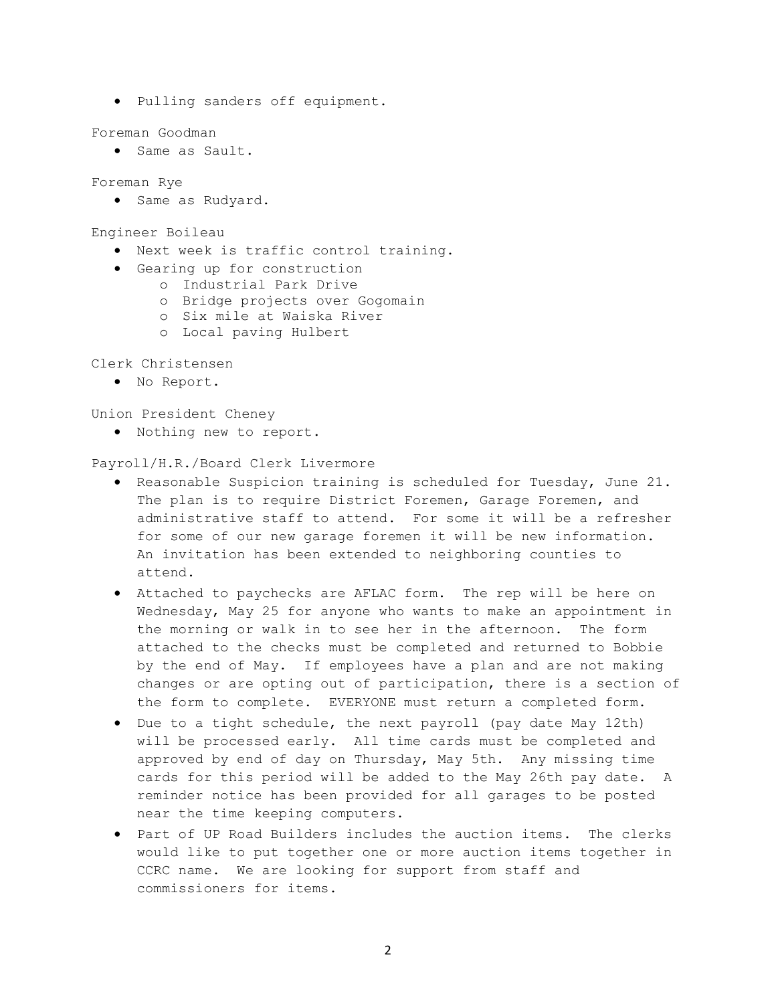• Pulling sanders off equipment.

Foreman Goodman

• Same as Sault.

Foreman Rye

• Same as Rudyard.

Engineer Boileau

- Next week is traffic control training.
- Gearing up for construction
	- o Industrial Park Drive
		- o Bridge projects over Gogomain
		- o Six mile at Waiska River
		- o Local paving Hulbert

Clerk Christensen

• No Report.

Union President Cheney

• Nothing new to report.

Payroll/H.R./Board Clerk Livermore

- Reasonable Suspicion training is scheduled for Tuesday, June 21. The plan is to require District Foremen, Garage Foremen, and administrative staff to attend. For some it will be a refresher for some of our new garage foremen it will be new information. An invitation has been extended to neighboring counties to attend.
- Attached to paychecks are AFLAC form. The rep will be here on Wednesday, May 25 for anyone who wants to make an appointment in the morning or walk in to see her in the afternoon. The form attached to the checks must be completed and returned to Bobbie by the end of May. If employees have a plan and are not making changes or are opting out of participation, there is a section of the form to complete. EVERYONE must return a completed form.
- Due to a tight schedule, the next payroll (pay date May 12th) will be processed early. All time cards must be completed and approved by end of day on Thursday, May 5th. Any missing time cards for this period will be added to the May 26th pay date. A reminder notice has been provided for all garages to be posted near the time keeping computers.
- Part of UP Road Builders includes the auction items. The clerks would like to put together one or more auction items together in CCRC name. We are looking for support from staff and commissioners for items.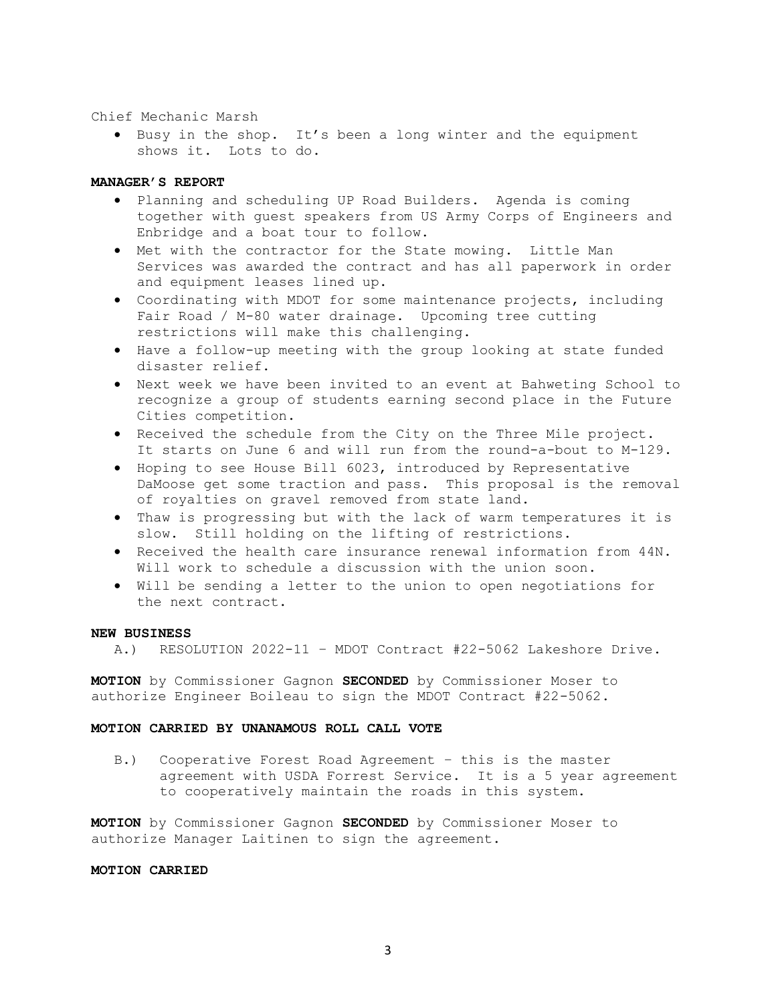#### Chief Mechanic Marsh

• Busy in the shop. It's been a long winter and the equipment shows it. Lots to do.

# **MANAGER'S REPORT**

- Planning and scheduling UP Road Builders. Agenda is coming together with guest speakers from US Army Corps of Engineers and Enbridge and a boat tour to follow.
- Met with the contractor for the State mowing. Little Man Services was awarded the contract and has all paperwork in order and equipment leases lined up.
- Coordinating with MDOT for some maintenance projects, including Fair Road / M-80 water drainage. Upcoming tree cutting restrictions will make this challenging.
- Have a follow-up meeting with the group looking at state funded disaster relief.
- Next week we have been invited to an event at Bahweting School to recognize a group of students earning second place in the Future Cities competition.
- Received the schedule from the City on the Three Mile project. It starts on June 6 and will run from the round-a-bout to M-129.
- Hoping to see House Bill 6023, introduced by Representative DaMoose get some traction and pass. This proposal is the removal of royalties on gravel removed from state land.
- Thaw is progressing but with the lack of warm temperatures it is slow. Still holding on the lifting of restrictions.
- Received the health care insurance renewal information from 44N. Will work to schedule a discussion with the union soon.
- Will be sending a letter to the union to open negotiations for the next contract.

## **NEW BUSINESS**

A.) RESOLUTION 2022-11 – MDOT Contract #22-5062 Lakeshore Drive.

**MOTION** by Commissioner Gagnon **SECONDED** by Commissioner Moser to authorize Engineer Boileau to sign the MDOT Contract #22-5062.

## **MOTION CARRIED BY UNANAMOUS ROLL CALL VOTE**

B.) Cooperative Forest Road Agreement – this is the master agreement with USDA Forrest Service. It is a 5 year agreement to cooperatively maintain the roads in this system.

**MOTION** by Commissioner Gagnon **SECONDED** by Commissioner Moser to authorize Manager Laitinen to sign the agreement.

#### **MOTION CARRIED**